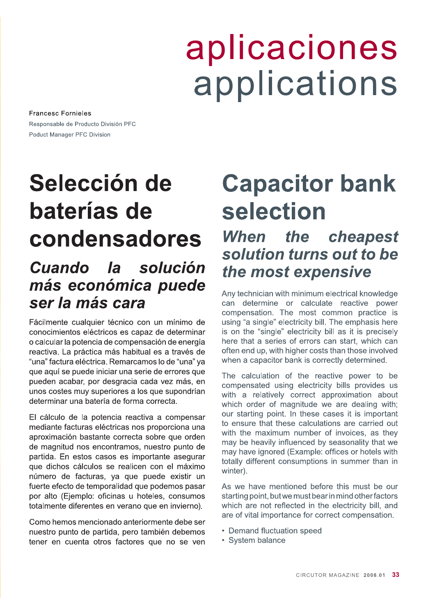# aplicaciones applications

**Francesc Fornieles** Responsable de Producto División PFC Poduct Manager PFC Division

# Selección de baterías de condensadores Cuando la solución

### más económica puede ser la más cara Fácilmente cualquier técnico con un mínimo de

conocimientos eléctricos es capaz de determinar o calcular la potencia de compensación de energía reactiva. La práctica más habitual es a través de "una" factura eléctrica. Remarcamos lo de "una" ya que aquí se puede iniciar una serie de errores que pueden acabar, por desgracia cada vez más, en unos costes muy superiores a los que supondrían determinar una batería de forma correcta.

El cálculo de la potencia reactiva a compensar mediante facturas eléctricas nos proporciona una aproximación bastante correcta sobre que orden de magnitud nos encontramos, nuestro punto de partida. En estos casos es importante asegurar que dichos cálculos se realicen con el máximo número de facturas, ya que puede existir un fuerte efecto de temporalidad que podemos pasar por alto (Ejemplo: oficinas u hoteles, consumos totalmente diferentes en verano que en invierno).

Como hemos mencionado anteriormente debe ser nuestro punto de partida, pero también debemos tener en cuenta otros factores que no se ven

# **Capacitor bank** selection

## When the cheapest solution turns out to be the most expensive

Any technician with minimum electrical knowledge can determine or calculate reactive power compensation. The most common practice is using "a single" electricity bill. The emphasis here is on the "single" electricity bill as it is precisely here that a series of errors can start, which can often end up, with higher costs than those involved when a capacitor bank is correctly determined.

The calculation of the reactive power to be compensated using electricity bills provides us with a relatively correct approximation about which order of magnitude we are dealing with; our starting point. In these cases it is important to ensure that these calculations are carried out with the maximum number of invoices, as they may be heavily influenced by seasonality that we may have ignored (Example: offices or hotels with totally different consumptions in summer than in winter).

As we have mentioned before this must be our starting point, but we must bear in mind other factors which are not reflected in the electricity bill, and are of vital importance for correct compensation.

- Demand fluctuation speed
- System balance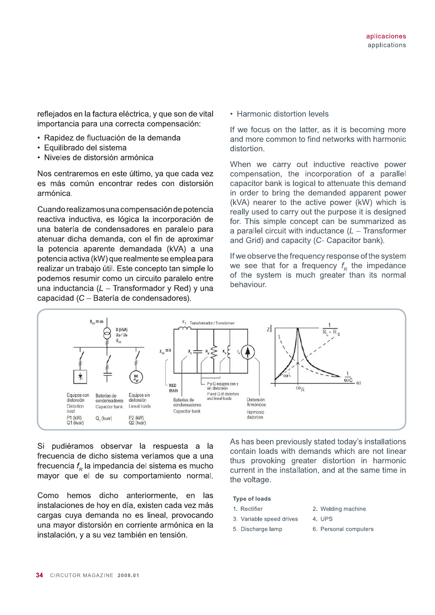!"#\$%&'&("&)"\*+,"&(-\*+.\*"/&0&1,&%\$'&#&2.+"(& reflejados en la factura eléctrica, y que son de vital<br>importancia para una correcta compensación:<br>• Rapidez de fluctuación de la demanda

- 
- Equilibrado del sistema
- Niveles de distorsión armónica

Nos centraremos en este último, va que cada vez es más común encontrar redes con distorsión armónica.

Cuando realizamos una compensación de potencia reactiva inductiva, es lógica la incorporación de una batería de condensadores en paralelo • Equilibrado del sistema<br>• Niveles de distorsión armónica<br>Nos centraremos en este último, ya que cada vez<br>es más común encontrar redes con distorsión<br>armónica.<br>Cuando realizamos una compensación de potencia<br>reactiva induc la potencia aparente demandada (kVA) a una potencia activa (kW) que realmente se emplea para realizar un trabaio útil. Este concepto tan simple lo podemos resumir como un circuito paralelo entre una inductancia ( $L -$ Transformador y Red) y una capacidad (C - Batería de condensadores).

• Harmonic distortion levels

If we focus on the latter, as it is becoming more 4Pplications<br>4Pplications<br>4Pplications<br>4Pplications<br>4Pplications<br>4Pplications<br>4Pplications<br>4Pplications<br>and more common to find networks with harmonic distortion.

When we carry out inductive reactive power compensation, the incorporation of a parallel capacitor bank is logical to attenuate this demand in order to bring the demanded apparent power  $(kVA)$  nearer to the active power  $(kW)$  which is really used to carry out the purpose it is designed for. This simple concept can be summarized as a parallel circuit with inductance  $(L - T_{\text{transformer}})$ and Grid) and capacity (C- Capacitor bank).

If we observe the frequency response of the system we see that for a frequency  $f_{\scriptscriptstyle R}$  the impedance of the system is much areater than its normal behaviour.



Si pudiéramos observar la respuesta a la frecuencia de dicho sistema veríamos que a una frecuencia  $f_{_R}$  la impedancia del sistema es mucho mavor que el de su comportamiento normal.

Como hemos dicho anteriormente, en las instalaciones de hov en día, existen cada vez más cargas cuva demanda no es lineal, provocando una mavor distorsión en corriente armónica en la instalación, y a su vez también en tensión. Type of loads<br>
aciones de hoy en día, existen cada vez más<br>
is cuya demanda no es lineal, provocando<br>
mayor distorsión en corriente armónica en la<br>
ación. v a su vez también en tensión.<br>
ación. v a su vez también en tensió

As has been previously stated today's installations contain loads with demands which are not linear thus provoking greater distortion in harmonic  $current$  in the installation, and at the same time in the voltage.

- 1. Rectifier 2. Welding machine
	-
- 3. Variable speed drives 4. UPS
- 5. Discharge lamp 6. Personal
- 6. Personal computers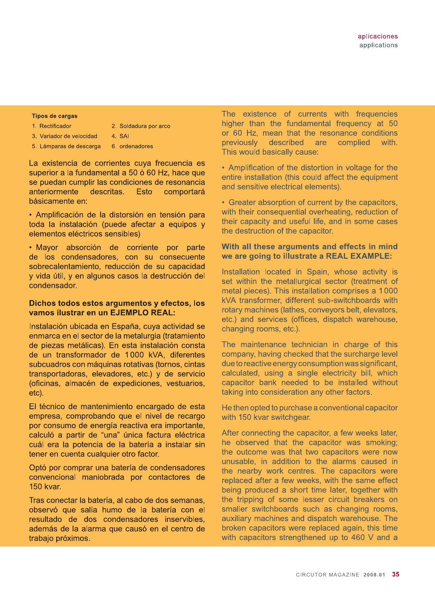#### **Tipos de cargas**

1. Rectificador

3. Variador de velocidad

2. Soldadura por arco 4. SAI

5. Lámparas de descarga 6. ordenadores

La existencia de corrientes cuya frecuencia es superior a la fundamental a 50 ó 60 Hz, hace que se puedan cumplir las condiciones de resonancia anteriormente descritas. **Esto** comportará básicamente en:

· Amplificación de la distorsión en tensión para toda la instalación (puede afectar a equipos y elementos eléctricos sensibles)

· Mayor absorción de corriente por parte de los condensadores, con su consecuente sobrecalentamiento, reducción de su capacidad y vida útil, y en algunos casos la destrucción del condensador.

### Dichos todos estos argumentos y efectos, los vamos ilustrar en un EJEMPLO REAL:

Instalación ubicada en España, cuya actividad se enmarca en el sector de la metalurgia (tratamiento de piezas metálicas). En esta instalación consta de un transformador de 1000 kVA, diferentes subcuadros con máquinas rotativas (tornos, cintas transportadoras, elevadores, etc.) y de servicio (oficinas, almacén de expediciones, vestuarios, etc).

El técnico de mantenimiento encargado de esta empresa, comprobando que el nivel de recargo por consumo de energía reactiva era importante, calculó a partir de "una" única factura eléctrica cuál era la potencia de la batería a instalar sin tener en cuenta cualquier otro factor.

Optó por comprar una batería de condensadores convencional maniobrada por contactores de 150 kvar.

Tras conectar la batería, al cabo de dos semanas. observó que salía humo de la batería con el resultado de dos condensadores inservibles, además de la alarma que causó en el centro de trabajo próximos.

The existence of currents with frequencies higher than the fundamental frequency at 50 or 60 Hz. mean that the resonance conditions previously described are complied with. This would basically cause:

• Amplification of the distortion in voltage for the entire installation (this could affect the equipment and sensitive electrical elements).

• Greater absorption of current by the capacitors, with their consequential overheating, reduction of their capacity and useful life, and in some cases the destruction of the capacitor.

### With all these arguments and effects in mind we are going to illustrate a REAL EXAMPLE:

Installation located in Spain, whose activity is set within the metallurgical sector (treatment of metal pieces). This installation comprises a 1000 kVA transformer, different sub-switchboards with rotary machines (lathes, conveyors belt, elevators, etc.) and services (offices, dispatch warehouse, changing rooms, etc.).

The maintenance technician in charge of this company, having checked that the surcharge level due to reactive energy consumption was significant. calculated, using a single electricity bill, which capacitor bank needed to be installed without taking into consideration any other factors.

He then opted to purchase a conventional capacitor with 150 kvar switchgear.

After connecting the capacitor, a few weeks later, he observed that the capacitor was smoking; the outcome was that two capacitors were now unusable, in addition to the alarms caused in the nearby work centres. The capacitors were replaced after a few weeks, with the same effect being produced a short time later, together with the tripping of some lesser circuit breakers on smaller switchboards such as changing rooms. auxiliary machines and dispatch warehouse. The broken capacitors were replaced again, this time with capacitors strengthened up to 460 V and a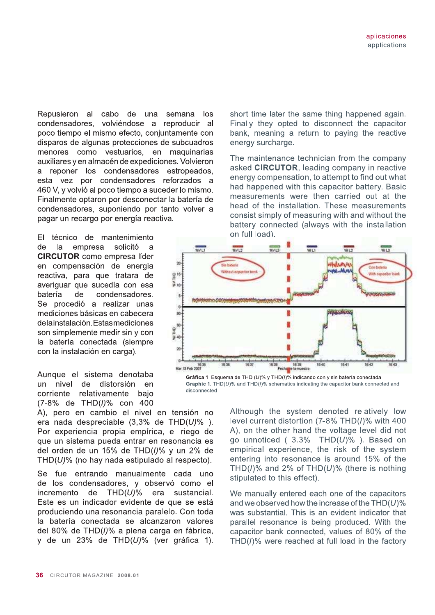Repusieron al cabo de una semana los condensadores, volviéndose a reproducir al poco tiempo el mismo efecto, conjuntamente con disparos de algunas protecciones de subcuadros menores como vestuarios, en maguinarias auxiliares y en almacén de expediciones. Volvieron a reponer los condensadores estropeados, esta vez por condensadores reforzados a 460 V, y volvió al poco tiempo a suceder lo mismo. Finalmente optaron por desconectar la batería de condensadores, suponiendo por tanto volver a pagar un recargo por energía reactiva.

EL. técnico de mantenimiento solicitó de  $|a|$ empresa  $\mathbf{a}$ **CIRCUTOR** como empresa líder en compensación de energía reactiva, para que tratara de averiguar que sucedía con esa batería de condensadores. Se procedió a realizar unas mediciones básicas en cabecera delainstalación. Estas mediciones son simplemente medir sin y con la batería conectada (siempre con la instalación en carga).

Aunque el sistema denotaba un nivel de distorsión en corriente relativamente baio (7-8% de THD(/)% con 400

A), pero en cambio el nivel en tensión no era nada despreciable  $(3,3\%$  de THD $(U)\%$ ). Por experiencia propia empírica, el riego de que un sistema pueda entrar en resonancia es del orden de un 15% de THD(I)% y un 2% de THD(U)% (no hay nada estipulado al respecto).

Se fue entrando manualmente cada uno de los condensadores, y observó como el  $THD(U)\%$ incremento de era sustancial. Este es un indicador evidente de que se está produciendo una resonancia paralelo. Con toda la batería conectada se alcanzaron valores del 80% de THD(I)% a plena carga en fábrica, y de un 23% de THD(U)% (ver gráfica 1). short time later the same thing happened again. Finally they opted to disconnect the capacitor bank, meaning a return to paying the reactive energy surcharge.

The maintenance technician from the company asked CIRCUTOR, leading company in reactive energy compensation, to attempt to find out what had happened with this capacitor battery. Basic measurements were then carried out at the head of the installation. These measurements consist simply of measuring with and without the battery connected (always with the installation on full load).



Gráfica 1. Esquema de THD (U)% y THD(I)% indicando con y sin batería conectada Graphic 1.  $THD(U)$ % and  $THD(I)$ % schematics indicating the capacitor bank connected and disconnected

> Although the system denoted relatively low level current distortion (7-8% THD(I)% with 400 A), on the other hand the voltage level did not go unnoticed ( $3.3\%$  THD(U)%). Based on empirical experience, the risk of the system entering into resonance is around 15% of the THD(I)% and 2% of THD( $U$ )% (there is nothing stipulated to this effect).

> We manually entered each one of the capacitors and we observed how the increase of the  $THD(U)\%$ was substantial. This is an evident indicator that parallel resonance is being produced. With the capacitor bank connected, values of 80% of the THD(I)% were reached at full load in the factory